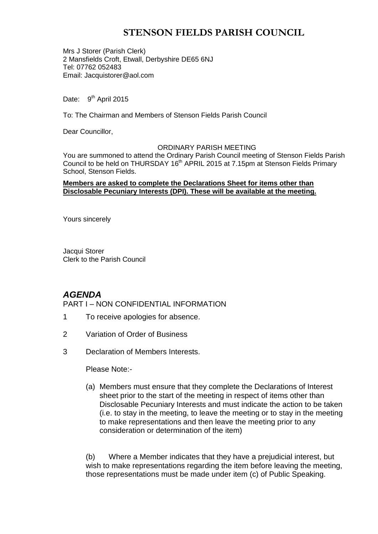# **STENSON FIELDS PARISH COUNCIL**

Mrs J Storer (Parish Clerk) 2 Mansfields Croft, Etwall, Derbyshire DE65 6NJ Tel: 07762 052483 Email: Jacquistorer@aol.com

Date: 9<sup>th</sup> April 2015

To: The Chairman and Members of Stenson Fields Parish Council

Dear Councillor,

#### ORDINARY PARISH MEETING

You are summoned to attend the Ordinary Parish Council meeting of Stenson Fields Parish Council to be held on THURSDAY 16<sup>th</sup> APRIL 2015 at 7.15pm at Stenson Fields Primary School, Stenson Fields.

#### **Members are asked to complete the Declarations Sheet for items other than Disclosable Pecuniary Interests (DPI). These will be available at the meeting.**

Yours sincerely

Jacqui Storer Clerk to the Parish Council

## *AGENDA*

PART I – NON CONFIDENTIAL INFORMATION

- 1 To receive apologies for absence.
- 2 Variation of Order of Business
- 3 Declaration of Members Interests.

Please Note:-

(a) Members must ensure that they complete the Declarations of Interest sheet prior to the start of the meeting in respect of items other than Disclosable Pecuniary Interests and must indicate the action to be taken (i.e. to stay in the meeting, to leave the meeting or to stay in the meeting to make representations and then leave the meeting prior to any consideration or determination of the item)

(b) Where a Member indicates that they have a prejudicial interest, but wish to make representations regarding the item before leaving the meeting, those representations must be made under item (c) of Public Speaking.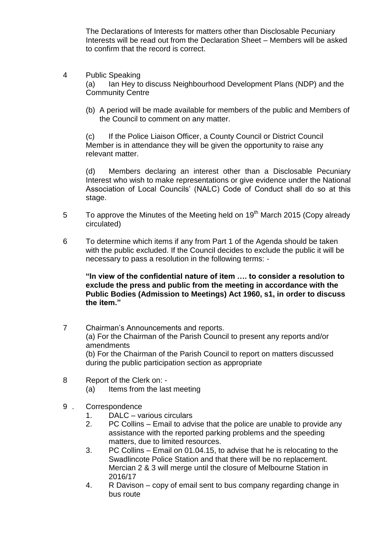The Declarations of Interests for matters other than Disclosable Pecuniary Interests will be read out from the Declaration Sheet – Members will be asked to confirm that the record is correct.

- 4 Public Speaking (a) Ian Hey to discuss Neighbourhood Development Plans (NDP) and the Community Centre
	- (b) A period will be made available for members of the public and Members of the Council to comment on any matter.

(c) If the Police Liaison Officer, a County Council or District Council Member is in attendance they will be given the opportunity to raise any relevant matter.

(d) Members declaring an interest other than a Disclosable Pecuniary Interest who wish to make representations or give evidence under the National Association of Local Councils' (NALC) Code of Conduct shall do so at this stage.

- 5 To approve the Minutes of the Meeting held on  $19<sup>th</sup>$  March 2015 (Copy already circulated)
- 6 To determine which items if any from Part 1 of the Agenda should be taken with the public excluded. If the Council decides to exclude the public it will be necessary to pass a resolution in the following terms: -

**"In view of the confidential nature of item …. to consider a resolution to exclude the press and public from the meeting in accordance with the Public Bodies (Admission to Meetings) Act 1960, s1, in order to discuss the item."** 

- 7 Chairman's Announcements and reports. (a) For the Chairman of the Parish Council to present any reports and/or amendments (b) For the Chairman of the Parish Council to report on matters discussed during the public participation section as appropriate
- 8 Report of the Clerk on: (a) Items from the last meeting
- 9 . Correspondence
	- 1. DALC various circulars
	- 2. PC Collins Email to advise that the police are unable to provide any assistance with the reported parking problems and the speeding matters, due to limited resources.
	- 3. PC Collins Email on 01.04.15, to advise that he is relocating to the Swadlincote Police Station and that there will be no replacement. Mercian 2 & 3 will merge until the closure of Melbourne Station in 2016/17
	- 4. R Davison copy of email sent to bus company regarding change in bus route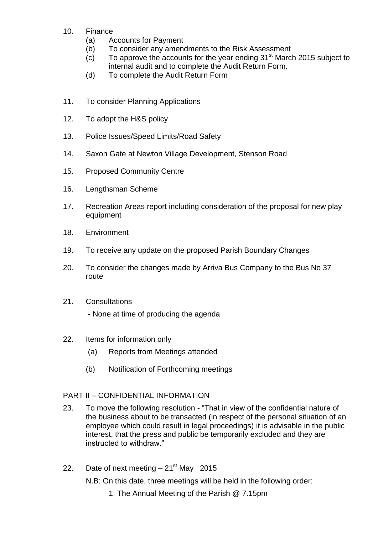- 10. Finance
	- (a) Accounts for Payment
	- (b) To consider any amendments to the Risk Assessment
	- (c) To approve the accounts for the year ending  $31<sup>st</sup>$  March 2015 subject to internal audit and to complete the Audit Return Form.
	- (d) To complete the Audit Return Form
- 11. To consider Planning Applications
- 12. To adopt the H&S policy
- 13. Police Issues/Speed Limits/Road Safety
- 14. Saxon Gate at Newton Village Development, Stenson Road
- 15. Proposed Community Centre
- 16. Lengthsman Scheme
- 17. Recreation Areas report including consideration of the proposal for new play equipment
- 18. Environment
- 19. To receive any update on the proposed Parish Boundary Changes
- 20. To consider the changes made by Arriva Bus Company to the Bus No 37 route
- 21. Consultations

- None at time of producing the agenda

- 22. Items for information only
	- (a) Reports from Meetings attended
	- (b) Notification of Forthcoming meetings

## PART II – CONFIDENTIAL INFORMATION

- 23. To move the following resolution "That in view of the confidential nature of the business about to be transacted (in respect of the personal situation of an employee which could result in legal proceedings) it is advisable in the public interest, that the press and public be temporarily excluded and they are instructed to withdraw."
- 22. Date of next meeting  $-21<sup>st</sup>$  May 2015

N.B: On this date, three meetings will be held in the following order:

1. The Annual Meeting of the Parish @ 7.15pm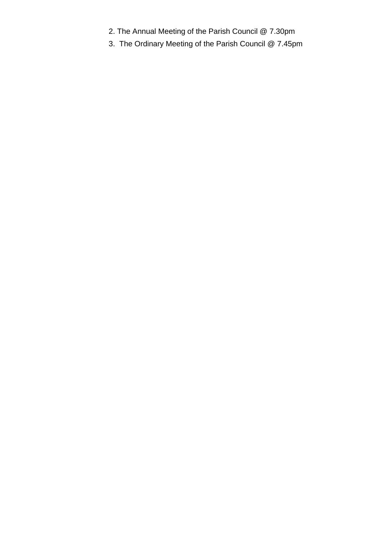- 2. The Annual Meeting of the Parish Council @ 7.30pm
- 3. The Ordinary Meeting of the Parish Council @ 7.45pm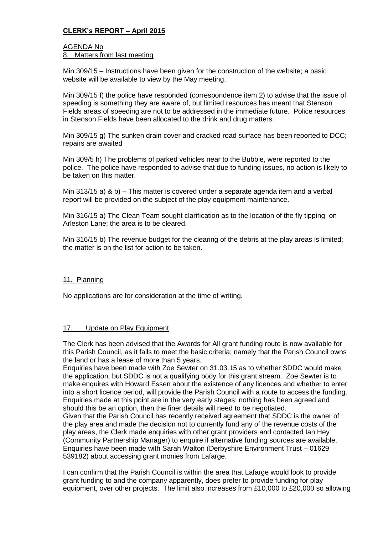## **CLERK's REPORT – April 2015**

## AGENDA No

8. Matters from last meeting

Min 309/15 – Instructions have been given for the construction of the website; a basic website will be available to view by the May meeting.

Min 309/15 f) the police have responded (correspondence item 2) to advise that the issue of speeding is something they are aware of, but limited resources has meant that Stenson Fields areas of speeding are not to be addressed in the immediate future. Police resources in Stenson Fields have been allocated to the drink and drug matters.

Min 309/15 g) The sunken drain cover and cracked road surface has been reported to DCC; repairs are awaited

Min 309/5 h) The problems of parked vehicles near to the Bubble, were reported to the police. The police have responded to advise that due to funding issues, no action is likely to be taken on this matter.

Min 313/15 a) & b) – This matter is covered under a separate agenda item and a verbal report will be provided on the subject of the play equipment maintenance.

Min 316/15 a) The Clean Team sought clarification as to the location of the fly tipping on Arleston Lane; the area is to be cleared.

Min 316/15 b) The revenue budget for the clearing of the debris at the play areas is limited; the matter is on the list for action to be taken.

#### 11. Planning

No applications are for consideration at the time of writing.

#### 17. Update on Play Equipment

The Clerk has been advised that the Awards for All grant funding route is now available for this Parish Council, as it fails to meet the basic criteria; namely that the Parish Council owns the land or has a lease of more than 5 years.

Enquiries have been made with Zoe Sewter on 31.03.15 as to whether SDDC would make the application, but SDDC is not a qualifying body for this grant stream. Zoe Sewter is to make enquires with Howard Essen about the existence of any licences and whether to enter into a short licence period, will provide the Parish Council with a route to access the funding. Enquiries made at this point are in the very early stages; nothing has been agreed and should this be an option, then the finer details will need to be negotiated.

Given that the Parish Council has recently received agreement that SDDC is the owner of the play area and made the decision not to currently fund any of the revenue costs of the play areas, the Clerk made enquiries with other grant providers and contacted Ian Hey (Community Partnership Manager) to enquire if alternative funding sources are available. Enquiries have been made with Sarah Walton (Derbyshire Environment Trust – 01629 539182) about accessing grant monies from Lafarge.

I can confirm that the Parish Council is within the area that Lafarge would look to provide grant funding to and the company apparently, does prefer to provide funding for play equipment, over other projects. The limit also increases from £10,000 to £20,000 so allowing